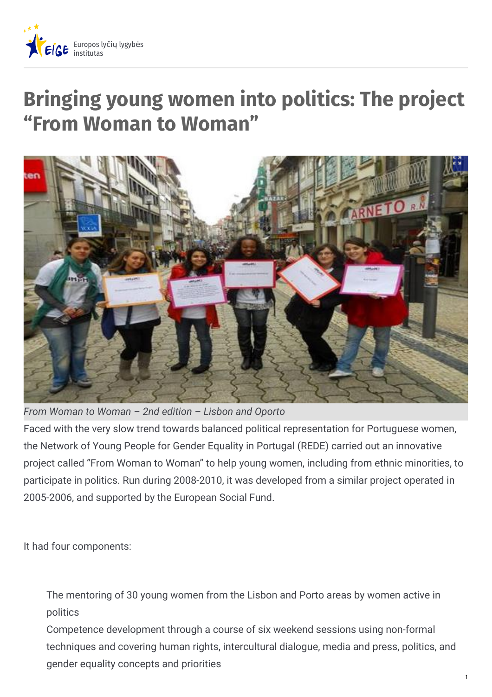

# **Bringing young women into politics: The project "From Woman to Woman"**



*From Woman to Woman – 2nd edition – Lisbon and Oporto*

Faced with the very slow trend towards balanced political representation for Portuguese women, the Network of Young People for Gender Equality in Portugal (REDE) carried out an innovative project called "From Woman to Woman" to help young women, including from ethnic minorities, to participate in politics. Run during 2008-2010, it was developed from a similar project operated in 2005-2006, and supported by the European Social Fund.

It had four components:

The mentoring of 30 young women from the Lisbon and Porto areas by women active in politics

Competence development through a course of six weekend sessions using non-formal techniques and covering human rights, intercultural dialogue, media and press, politics, and gender equality concepts and priorities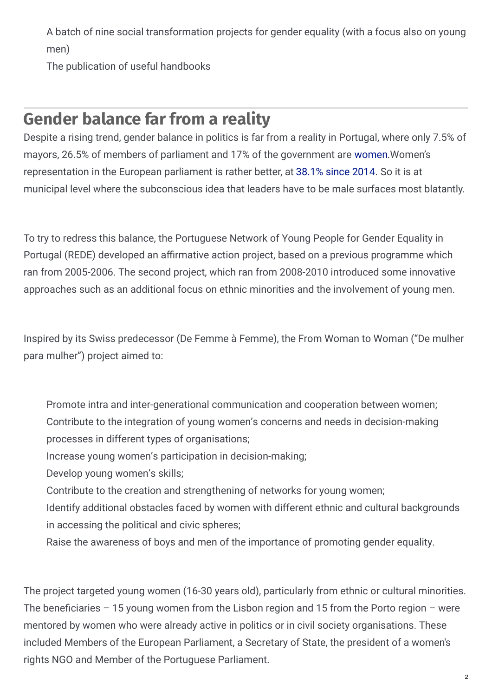A batch of nine social transformation projects for gender equality (with a focus also on young men)

The publication of useful handbooks

### **Gender balance far from a reality**

Despite a rising trend, gender balance in politics is far from a reality in Portugal, where only 7.5% of mayors, 26.5% of members of parliament and 17% of the government are [women](http://www.unwomen.org/~/media/Headquarters/Attachments/Sections/CSW/59/National_reviews/Portugal_review_Beijing20.pdf).Women's representation in the European parliament is rather better, at [38.1%](http://ec.europa.eu/justice/gender-equality/gender-decision-making/database/politics/eu-parliament/ index_en.htm) since 2014. So it is at municipal level where the subconscious idea that leaders have to be male surfaces most blatantly.

To try to redress this balance, the Portuguese Network of Young People for Gender Equality in Portugal (REDE) developed an affirmative action project, based on a previous programme which ran from 2005-2006. The second project, which ran from 2008-2010 introduced some innovative approaches such as an additional focus on ethnic minorities and the involvement of young men.

Inspired by its Swiss predecessor (De Femme à Femme), the From Woman to Woman ("De mulher para mulher") project aimed to:

- Promote intra and inter-generational communication and cooperation between women; Contribute to the integration of young women's concerns and needs in decision-making processes in different types of organisations;
- Increase young women's participation in decision-making;
- Develop young women's skills;
- Contribute to the creation and strengthening of networks for young women;
- Identify additional obstacles faced by women with different ethnic and cultural backgrounds in accessing the political and civic spheres;
- Raise the awareness of boys and men of the importance of promoting gender equality.

The project targeted young women (16-30 years old), particularly from ethnic or cultural minorities. The beneficiaries – 15 young women from the Lisbon region and 15 from the Porto region – were mentored by women who were already active in politics or in civil society organisations. These included Members of the European Parliament, a Secretary of State, the president of a women's rights NGO and Member of the Portuguese Parliament.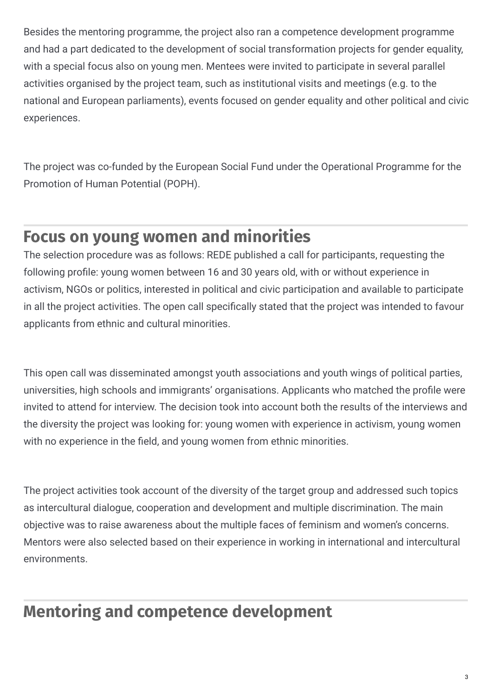Besides the mentoring programme, the project also ran a competence development programme and had a part dedicated to the development of social transformation projects for gender equality, with a special focus also on young men. Mentees were invited to participate in several parallel activities organised by the project team, such as institutional visits and meetings (e.g. to the national and European parliaments), events focused on gender equality and other political and civic experiences.

The project was co-funded by the European Social Fund under the Operational Programme for the Promotion of Human Potential (POPH).

## **Focus on young women and minorities**

The selection procedure was as follows: REDE published a call for participants, requesting the following profile: young women between 16 and 30 years old, with or without experience in activism, NGOs or politics, interested in political and civic participation and available to participate in all the project activities. The open call specifically stated that the project was intended to favour applicants from ethnic and cultural minorities.

This open call was disseminated amongst youth associations and youth wings of political parties, universities, high schools and immigrants' organisations. Applicants who matched the profile were invited to attend for interview. The decision took into account both the results of the interviews and the diversity the project was looking for: young women with experience in activism, young women with no experience in the field, and young women from ethnic minorities.

The project activities took account of the diversity of the target group and addressed such topics as intercultural dialogue, cooperation and development and multiple discrimination. The main objective was to raise awareness about the multiple faces of feminism and women's concerns. Mentors were also selected based on their experience in working in international and intercultural environments.

# **Mentoring and competence development**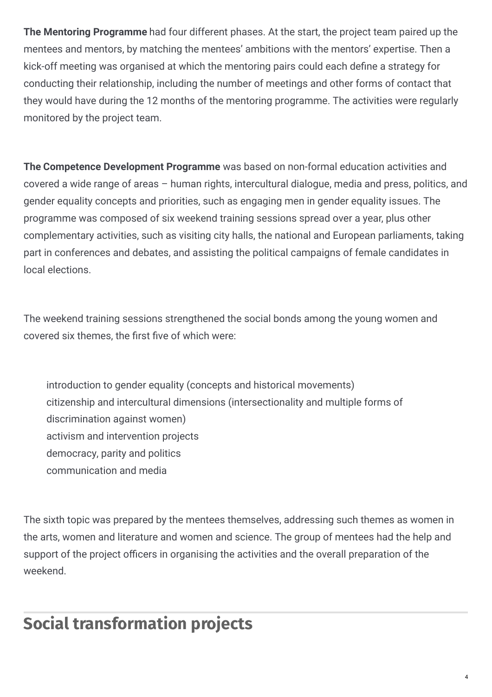**The Mentoring Programme** had four different phases. At the start, the project team paired up the mentees and mentors, by matching the mentees' ambitions with the mentors' expertise. Then a kick-off meeting was organised at which the mentoring pairs could each define a strategy for conducting their relationship, including the number of meetings and other forms of contact that they would have during the 12 months of the mentoring programme. The activities were regularly monitored by the project team.

**The Competence Development Programme** was based on non-formal education activities and covered a wide range of areas – human rights, intercultural dialogue, media and press, politics, and gender equality concepts and priorities, such as engaging men in gender equality issues. The programme was composed of six weekend training sessions spread over a year, plus other complementary activities, such as visiting city halls, the national and European parliaments, taking part in conferences and debates, and assisting the political campaigns of female candidates in local elections.

The weekend training sessions strengthened the social bonds among the young women and covered six themes, the first five of which were:

introduction to gender equality (concepts and historical movements) citizenship and intercultural dimensions (intersectionality and multiple forms of discrimination against women) activism and intervention projects democracy, parity and politics communication and media

The sixth topic was prepared by the mentees themselves, addressing such themes as women in the arts, women and literature and women and science. The group of mentees had the help and support of the project officers in organising the activities and the overall preparation of the weekend.

# **Social transformation projects**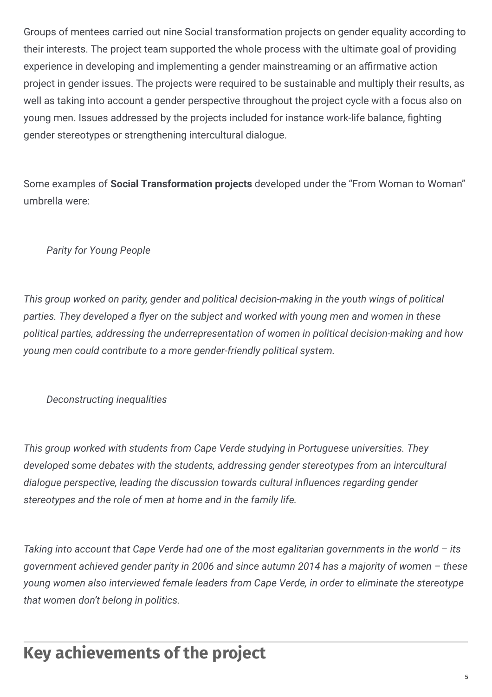Groups of mentees carried out nine Social transformation projects on gender equality according to their interests. The project team supported the whole process with the ultimate goal of providing experience in developing and implementing a gender mainstreaming or an affirmative action project in gender issues. The projects were required to be sustainable and multiply their results, as well as taking into account a gender perspective throughout the project cycle with a focus also on young men. Issues addressed by the projects included for instance work-life balance, fighting gender stereotypes or strengthening intercultural dialogue.

Some examples of **Social Transformation projects** developed under the "From Woman to Woman" umbrella were:

#### *Parity for Young People*

*This group worked on parity, gender and political decision-making in the youth wings of political parties. They developed a "yer on the subject and worked with young men and women in these political parties, addressing the underrepresentation of women in political decision-making and how young men could contribute to a more gender-friendly political system.*

#### *Deconstructing inequalities*

*This group worked with students from Cape Verde studying in Portuguese universities. They developed some debates with the students, addressing gender stereotypes from an intercultural dialogue perspective, leading the discussion towards cultural in"uences regarding gender stereotypes and the role of men at home and in the family life.*

*Taking into account that Cape Verde had one of the most egalitarian governments in the world – its government achieved gender parity in 2006 and since autumn 2014 has a majority of women – these young women also interviewed female leaders from Cape Verde, in order to eliminate the stereotype that women don't belong in politics.*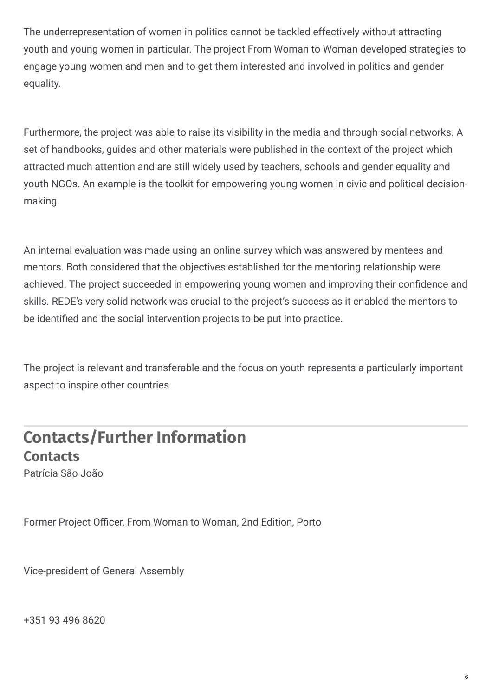The underrepresentation of women in politics cannot be tackled effectively without attracting youth and young women in particular. The project From Woman to Woman developed strategies to engage young women and men and to get them interested and involved in politics and gender equality.

Furthermore, the project was able to raise its visibility in the media and through social networks. A set of handbooks, guides and other materials were published in the context of the project which attracted much attention and are still widely used by teachers, schools and gender equality and youth NGOs. An example is the toolkit for empowering young women in civic and political decisionmaking.

An internal evaluation was made using an online survey which was answered by mentees and mentors. Both considered that the objectives established for the mentoring relationship were achieved. The project succeeded in empowering young women and improving their confidence and skills. REDE's very solid network was crucial to the project's success as it enabled the mentors to be identified and the social intervention projects to be put into practice.

The project is relevant and transferable and the focus on youth represents a particularly important aspect to inspire other countries.

### **Contacts/Further Information Contacts**

Patrícia São João

Former Project Officer, From Woman to Woman, 2nd Edition, Porto

Vice-president of General Assembly

+351 93 496 8620